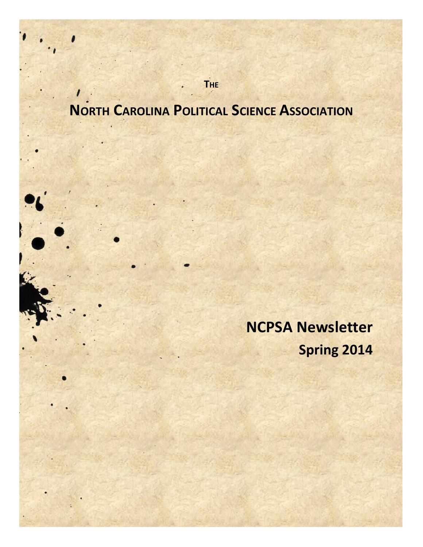**NORTH CAROLINA POLITICAL SCIENCE ASSOCIATION**

**THE**

**NCPSA Newsletter Spring 2014**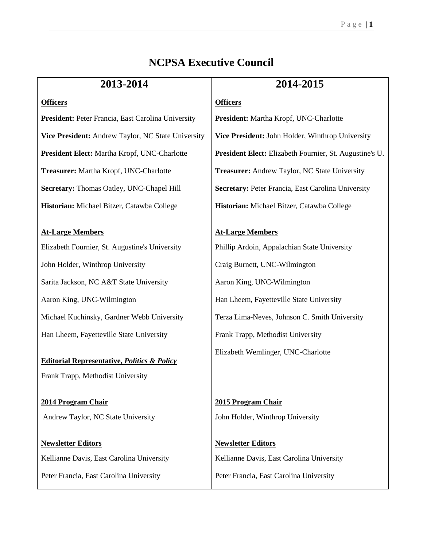# **NCPSA Executive Council**

| 2013-2014                                              | 2014-2015                                               |
|--------------------------------------------------------|---------------------------------------------------------|
| <b>Officers</b>                                        | <b>Officers</b>                                         |
| President: Peter Francia, East Carolina University     | President: Martha Kropf, UNC-Charlotte                  |
| Vice President: Andrew Taylor, NC State University     | Vice President: John Holder, Winthrop University        |
| President Elect: Martha Kropf, UNC-Charlotte           | President Elect: Elizabeth Fournier, St. Augustine's U. |
| Treasurer: Martha Kropf, UNC-Charlotte                 | Treasurer: Andrew Taylor, NC State University           |
| Secretary: Thomas Oatley, UNC-Chapel Hill              | Secretary: Peter Francia, East Carolina University      |
| Historian: Michael Bitzer, Catawba College             | Historian: Michael Bitzer, Catawba College              |
|                                                        |                                                         |
| <b>At-Large Members</b>                                | <b>At-Large Members</b>                                 |
| Elizabeth Fournier, St. Augustine's University         | Phillip Ardoin, Appalachian State University            |
| John Holder, Winthrop University                       | Craig Burnett, UNC-Wilmington                           |
| Sarita Jackson, NC A&T State University                | Aaron King, UNC-Wilmington                              |
| Aaron King, UNC-Wilmington                             | Han Lheem, Fayetteville State University                |
| Michael Kuchinsky, Gardner Webb University             | Terza Lima-Neves, Johnson C. Smith University           |
| Han Lheem, Fayetteville State University               | Frank Trapp, Methodist University                       |
|                                                        | Elizabeth Wemlinger, UNC-Charlotte                      |
| <b>Editorial Representative, Politics &amp; Policy</b> |                                                         |
| Frank Trapp, Methodist University                      |                                                         |
| 2014 Program Chair                                     | 2015 Program Chair                                      |
| Andrew Taylor, NC State University                     | John Holder, Winthrop University                        |
|                                                        |                                                         |
| <b>Newsletter Editors</b>                              | <b>Newsletter Editors</b>                               |
| Kellianne Davis, East Carolina University              | Kellianne Davis, East Carolina University               |
| Peter Francia, East Carolina University                | Peter Francia, East Carolina University                 |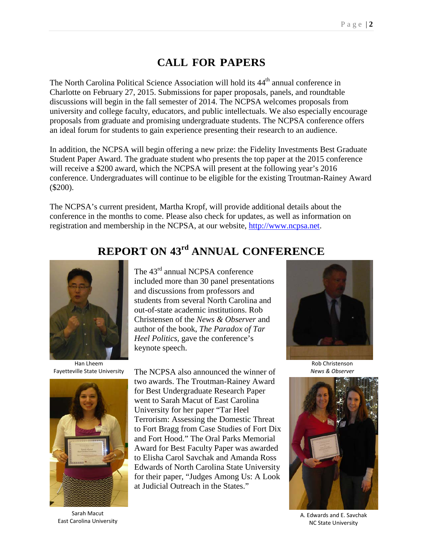# **CALL FOR PAPERS**

The North Carolina Political Science Association will hold its 44<sup>th</sup> annual conference in Charlotte on February 27, 2015. Submissions for paper proposals, panels, and roundtable discussions will begin in the fall semester of 2014. The NCPSA welcomes proposals from university and college faculty, educators, and public intellectuals. We also especially encourage proposals from graduate and promising undergraduate students. The NCPSA conference offers an ideal forum for students to gain experience presenting their research to an audience.

In addition, the NCPSA will begin offering a new prize: the Fidelity Investments Best Graduate Student Paper Award. The graduate student who presents the top paper at the 2015 conference will receive a \$200 award, which the NCPSA will present at the following year's 2016 conference. Undergraduates will continue to be eligible for the existing Troutman-Rainey Award (\$200).

The NCPSA's current president, Martha Kropf, will provide additional details about the conference in the months to come. Please also check for updates, as well as information on registration and membership in the NCPSA, at our website, [http://www.ncpsa.net.](http://www.ncpsa.net/)



Han Lheem Fayetteville State University



Sarah Macut East Carolina University

# **REPORT ON 43rd ANNUAL CONFERENCE**

The 43<sup>rd</sup> annual NCPSA conference included more than 30 panel presentations and discussions from professors and students from several North Carolina and out-of-state academic institutions. Rob Christensen of the *News & Observer* and author of the book, *The Paradox of Tar Heel Politics*, gave the conference's keynote speech.

The NCPSA also announced the winner of two awards. The Troutman-Rainey Award for Best Undergraduate Research Paper went to Sarah Macut of East Carolina University for her paper "Tar Heel Terrorism: Assessing the Domestic Threat to Fort Bragg from Case Studies of Fort Dix and Fort Hood." The Oral Parks Memorial Award for Best Faculty Paper was awarded to Elisha Carol Savchak and Amanda Ross Edwards of North Carolina State University for their paper, "Judges Among Us: A Look at Judicial Outreach in the States."



Rob Christenson *News & Observer*



A. Edwards and E. Savchak NC State University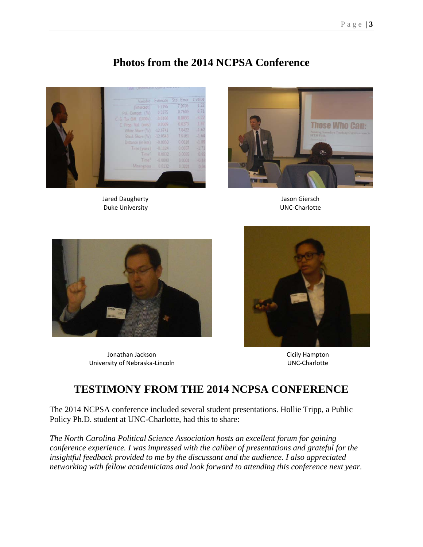# **Photos from the 2014 NCPSA Conference**



Jared Daugherty Duke University



Jason Giersch UNC-Charlotte



Jonathan Jackson University of Nebraska-Lincoln



Cicily Hampton UNC-Charlotte

# **TESTIMONY FROM THE 2014 NCPSA CONFERENCE**

The 2014 NCPSA conference included several student presentations. Hollie Tripp, a Public Policy Ph.D. student at UNC-Charlotte, had this to share:

*The North Carolina Political Science Association hosts an excellent forum for gaining conference experience. I was impressed with the caliber of presentations and grateful for the insightful feedback provided to me by the discussant and the audience. I also appreciated networking with fellow academicians and look forward to attending this conference next year.*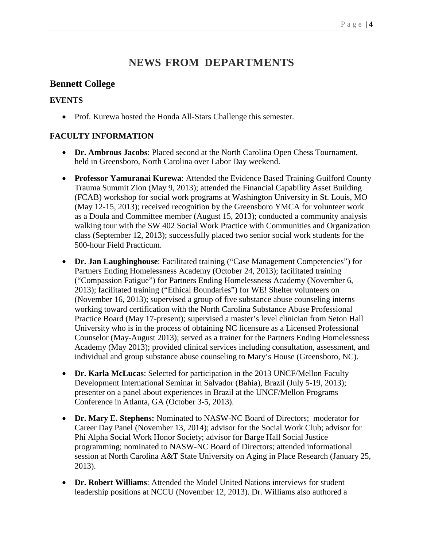# **NEWS FROM DEPARTMENTS**

### **Bennett College**

#### **EVENTS**

• Prof. Kurewa hosted the Honda All-Stars Challenge this semester.

#### **FACULTY INFORMATION**

- **Dr. Ambrous Jacobs**: Placed second at the North Carolina Open Chess Tournament, held in Greensboro, North Carolina over Labor Day weekend.
- **Professor Yamuranai Kurewa**: Attended the Evidence Based Training Guilford County Trauma Summit Zion (May 9, 2013); attended the Financial Capability Asset Building (FCAB) workshop for social work programs at Washington University in St. Louis, MO (May 12-15, 2013); received recognition by the Greensboro YMCA for volunteer work as a Doula and Committee member (August 15, 2013); conducted a community analysis walking tour with the SW 402 Social Work Practice with Communities and Organization class (September 12, 2013); successfully placed two senior social work students for the 500-hour Field Practicum.
- **Dr. Jan Laughinghouse**: Facilitated training ("Case Management Competencies") for Partners Ending Homelessness Academy (October 24, 2013); facilitated training ("Compassion Fatigue") for Partners Ending Homelessness Academy (November 6, 2013); facilitated training ("Ethical Boundaries") for WE! Shelter volunteers on (November 16, 2013); supervised a group of five substance abuse counseling interns working toward certification with the North Carolina Substance Abuse Professional Practice Board (May 17-present); supervised a master's level clinician from Seton Hall University who is in the process of obtaining NC licensure as a Licensed Professional Counselor (May-August 2013); served as a trainer for the Partners Ending Homelessness Academy (May 2013); provided clinical services including consultation, assessment, and individual and group substance abuse counseling to Mary's House (Greensboro, NC).
- **Dr. Karla McLucas**: Selected for participation in the 2013 UNCF/Mellon Faculty Development International Seminar in Salvador (Bahia), Brazil (July 5-19, 2013); presenter on a panel about experiences in Brazil at the UNCF/Mellon Programs Conference in Atlanta, GA (October 3-5, 2013).
- **Dr. Mary E. Stephens:** Nominated to NASW-NC Board of Directors; moderator for Career Day Panel (November 13, 2014); advisor for the Social Work Club; advisor for Phi Alpha Social Work Honor Society; advisor for Barge Hall Social Justice programming; nominated to NASW-NC Board of Directors; attended informational session at North Carolina A&T State University on Aging in Place Research (January 25, 2013).
- **Dr. Robert Williams**: Attended the Model United Nations interviews for student leadership positions at NCCU (November 12, 2013). Dr. Williams also authored a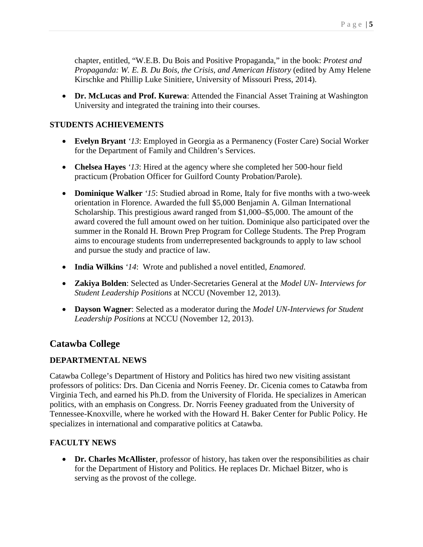chapter, entitled, "W.E.B. Du Bois and Positive Propaganda," in the book: *Protest and Propaganda: W. E. B. Du Bois, the Crisis, and American History* (edited by Amy Helene Kirschke and Phillip Luke Sinitiere, University of Missouri Press, 2014).

• **Dr. McLucas and Prof. Kurewa**: Attended the Financial Asset Training at Washington University and integrated the training into their courses.

#### **STUDENTS ACHIEVEMENTS**

- **Evelyn Bryant** *'13*: Employed in Georgia as a Permanency (Foster Care) Social Worker for the Department of Family and Children's Services.
- **Chelsea Hayes** *'13*: Hired at the agency where she completed her 500-hour field practicum (Probation Officer for Guilford County Probation/Parole).
- **Dominique Walker** *'15*: Studied abroad in Rome, Italy for five months with a two-week orientation in Florence. Awarded the full \$5,000 Benjamin A. Gilman International Scholarship. This prestigious award ranged from \$1,000–\$5,000. The amount of the award covered the full amount owed on her tuition. Dominique also participated over the summer in the Ronald H. Brown Prep Program for College Students. The Prep Program aims to encourage students from underrepresented backgrounds to apply to law school and pursue the study and practice of law.
- **India Wilkins** *'14*: Wrote and published a novel entitled, *Enamored*.
- **Zakiya Bolden**: Selected as Under-Secretaries General at the *Model UN- Interviews for Student Leadership Positions* at NCCU (November 12, 2013).
- **Dayson Wagner**: Selected as a moderator during the *Model UN-Interviews for Student Leadership Positions* at NCCU (November 12, 2013).

#### **Catawba College**

#### **DEPARTMENTAL NEWS**

Catawba College's Department of History and Politics has hired two new visiting assistant professors of politics: Drs. Dan Cicenia and Norris Feeney. Dr. Cicenia comes to Catawba from Virginia Tech, and earned his Ph.D. from the University of Florida. He specializes in American politics, with an emphasis on Congress. Dr. Norris Feeney graduated from the University of Tennessee-Knoxville, where he worked with the Howard H. Baker Center for Public Policy. He specializes in international and comparative politics at Catawba.

#### **FACULTY NEWS**

• **Dr. Charles McAllister**, professor of history, has taken over the responsibilities as chair for the Department of History and Politics. He replaces Dr. Michael Bitzer, who is serving as the provost of the college.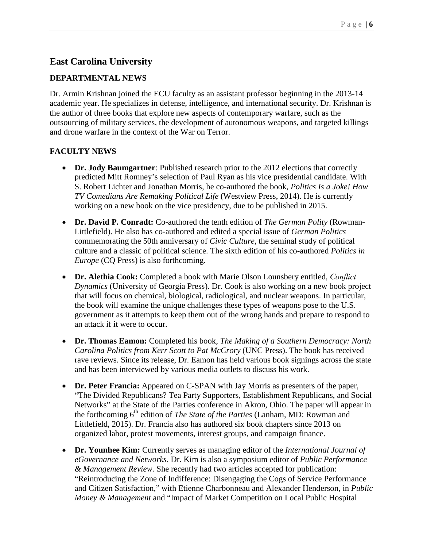# **East Carolina University**

#### **DEPARTMENTAL NEWS**

Dr. Armin Krishnan joined the ECU faculty as an assistant professor beginning in the 2013-14 academic year. He specializes in defense, intelligence, and international security. Dr. Krishnan is the author of three books that explore new aspects of contemporary warfare, such as the outsourcing of military services, the development of autonomous weapons, and targeted killings and drone warfare in the context of the War on Terror.

#### **FACULTY NEWS**

- **Dr. Jody Baumgartner**: Published research prior to the 2012 elections that correctly predicted Mitt Romney's selection of Paul Ryan as his vice presidential candidate. With S. Robert Lichter and Jonathan Morris, he co-authored the book, *Politics Is a Joke! How TV Comedians Are Remaking Political Life* (Westview Press, 2014). He is currently working on a new book on the vice presidency, due to be published in 2015.
- **Dr. David P. Conradt:** Co-authored the tenth edition of *The German Polity* (Rowman-Littlefield). He also has co-authored and edited a special issue of *German Politics*  commemorating the 50th anniversary of *Civic Culture*, the seminal study of political culture and a classic of political science. The sixth edition of his co-authored *Politics in Europe* (CQ Press) is also forthcoming.
- **Dr. Alethia Cook:** Completed a book with Marie Olson Lounsbery entitled, *Conflict Dynamics* (University of Georgia Press). Dr. Cook is also working on a new book project that will focus on chemical, biological, radiological, and nuclear weapons. In particular, the book will examine the unique challenges these types of weapons pose to the U.S. government as it attempts to keep them out of the wrong hands and prepare to respond to an attack if it were to occur.
- **Dr. Thomas Eamon:** Completed his book, *The Making of a Southern Democracy: North Carolina Politics from Kerr Scott to Pat McCrory* (UNC Press). The book has received rave reviews. Since its release, Dr. Eamon has held various book signings across the state and has been interviewed by various media outlets to discuss his work.
- **Dr. Peter Francia:** Appeared on C-SPAN with Jay Morris as presenters of the paper, "The Divided Republicans? Tea Party Supporters, Establishment Republicans, and Social Networks" at the State of the Parties conference in Akron, Ohio. The paper will appear in the forthcoming 6th edition of *The State of the Parties* (Lanham, MD: Rowman and Littlefield, 2015). Dr. Francia also has authored six book chapters since 2013 on organized labor, protest movements, interest groups, and campaign finance.
- **Dr. Younhee Kim:** Currently serves as managing editor of the *International Journal of eGovernance and Networks*. Dr. Kim is also a symposium editor of *Public Performance & Management Review*. She recently had two articles accepted for publication: "Reintroducing the Zone of Indifference: Disengaging the Cogs of Service Performance and Citizen Satisfaction," with Etienne Charbonneau and Alexander Henderson, in *Public Money & Management* and "Impact of Market Competition on Local Public Hospital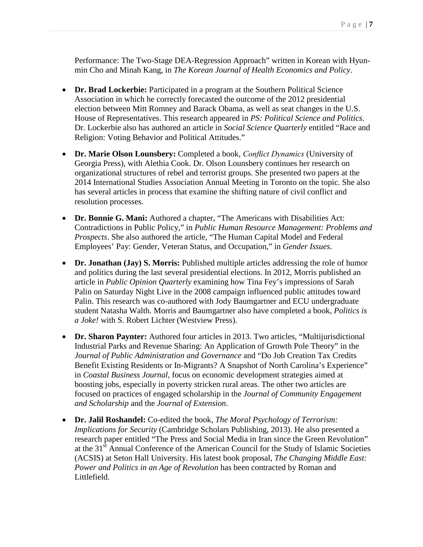Performance: The Two-Stage DEA-Regression Approach" written in Korean with Hyunmin Cho and Minah Kang, in *The Korean Journal of Health Economics and Policy*.

- **Dr. Brad Lockerbie:** Participated in a program at the Southern Political Science Association in which he correctly forecasted the outcome of the 2012 presidential election between Mitt Romney and Barack Obama, as well as seat changes in the U.S. House of Representatives. This research appeared in *PS: Political Science and Politics*. Dr. Lockerbie also has authored an article in *Social Science Quarterly* entitled "Race and Religion: Voting Behavior and Political Attitudes."
- **Dr. Marie Olson Lounsbery:** Completed a book, *Conflict Dynamics* (University of Georgia Press), with Alethia Cook. Dr. Olson Lounsbery continues her research on organizational structures of rebel and terrorist groups. She presented two papers at the 2014 International Studies Association Annual Meeting in Toronto on the topic. She also has several articles in process that examine the shifting nature of civil conflict and resolution processes.
- **Dr. Bonnie G. Mani:** Authored a chapter, "The Americans with Disabilities Act: Contradictions in Public Policy," in *Public Human Resource Management: Problems and Prospects*. She also authored the article, "The Human Capital Model and Federal Employees' Pay: Gender, Veteran Status, and Occupation," in *Gender Issues*.
- **Dr. Jonathan (Jay) S. Morris:** Published multiple articles addressing the role of humor and politics during the last several presidential elections. In 2012, Morris published an article in *Public Opinion Quarterly* examining how Tina Fey's impressions of Sarah Palin on Saturday Night Live in the 2008 campaign influenced public attitudes toward Palin. This research was co-authored with Jody Baumgartner and ECU undergraduate student Natasha Walth. Morris and Baumgartner also have completed a book, *Politics is a Joke!* with S. Robert Lichter (Westview Press).
- **Dr. Sharon Paynter:** Authored four articles in 2013. Two articles, "Multijurisdictional Industrial Parks and Revenue Sharing: An Application of Growth Pole Theory" in the *Journal of Public Administration and Governance* and "Do Job Creation Tax Credits Benefit Existing Residents or In-Migrants? A Snapshot of North Carolina's Experience" in *Coastal Business Journal*, focus on economic development strategies aimed at boosting jobs, especially in poverty stricken rural areas. The other two articles are focused on practices of engaged scholarship in the *Journal of Community Engagement and Scholarship* and the *Journal of Extension*.
- **Dr. Jalil Roshandel:** Co-edited the book, *The Moral Psychology of Terrorism: Implications for Security* (Cambridge Scholars Publishing, 2013). He also presented a research paper entitled "The Press and Social Media in Iran since the Green Revolution" at the 31<sup>st</sup> Annual Conference of the American Council for the Study of Islamic Societies (ACSIS) at Seton Hall University. His latest book proposal, *The Changing Middle East: Power and Politics in an Age of Revolution* has been contracted by Roman and Littlefield.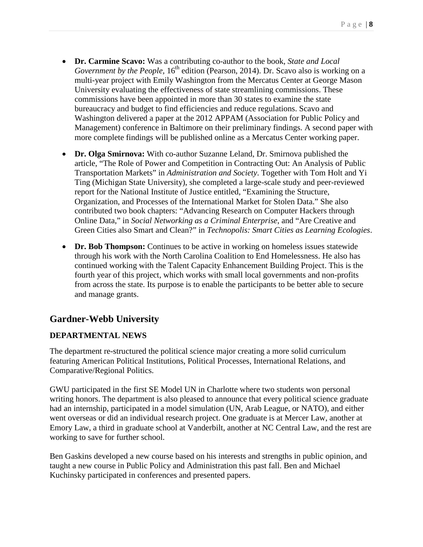- **Dr. Carmine Scavo:** Was a contributing co-author to the book, *State and Local Government by the People*, 16<sup>th</sup> edition (Pearson, 2014). Dr. Scavo also is working on a multi-year project with Emily Washington from the Mercatus Center at George Mason University evaluating the effectiveness of state streamlining commissions. These commissions have been appointed in more than 30 states to examine the state bureaucracy and budget to find efficiencies and reduce regulations. Scavo and Washington delivered a paper at the 2012 APPAM (Association for Public Policy and Management) conference in Baltimore on their preliminary findings. A second paper with more complete findings will be published online as a Mercatus Center working paper.
- **Dr. Olga Smirnova:** With co-author Suzanne Leland, Dr. Smirnova published the article, "The Role of Power and Competition in Contracting Out: An Analysis of Public Transportation Markets" in *Administration and Society*. Together with Tom Holt and Yi Ting (Michigan State University), she completed a large-scale study and peer-reviewed report for the National Institute of Justice entitled, "Examining the Structure, Organization, and Processes of the International Market for Stolen Data." She also contributed two book chapters: "Advancing Research on Computer Hackers through Online Data," in *Social Networking as a Criminal Enterprise*, and "Are Creative and Green Cities also Smart and Clean?" in *Technopolis: Smart Cities as Learning Ecologies*.
- **Dr. Bob Thompson:** Continues to be active in working on homeless issues statewide through his work with the North Carolina Coalition to End Homelessness. He also has continued working with the Talent Capacity Enhancement Building Project. This is the fourth year of this project, which works with small local governments and non-profits from across the state. Its purpose is to enable the participants to be better able to secure and manage grants.

### **Gardner-Webb University**

#### **DEPARTMENTAL NEWS**

The department re-structured the political science major creating a more solid curriculum featuring American Political Institutions, Political Processes, International Relations, and Comparative/Regional Politics.

GWU participated in the first SE Model UN in Charlotte where two students won personal writing honors. The department is also pleased to announce that every political science graduate had an internship, participated in a model simulation (UN, Arab League, or NATO), and either went overseas or did an individual research project. One graduate is at Mercer Law, another at Emory Law, a third in graduate school at Vanderbilt, another at NC Central Law, and the rest are working to save for further school.

Ben Gaskins developed a new course based on his interests and strengths in public opinion, and taught a new course in Public Policy and Administration this past fall. Ben and Michael Kuchinsky participated in conferences and presented papers.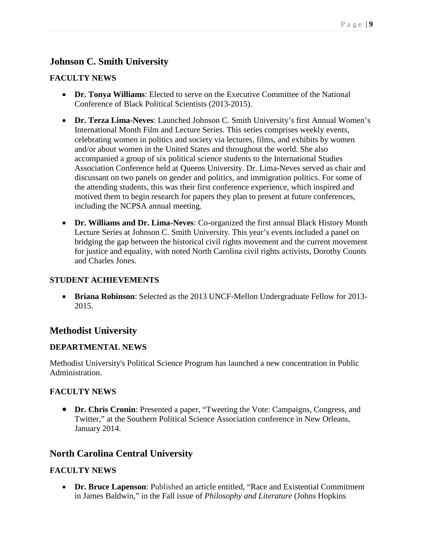# **Johnson C. Smith University**

#### **FACULTY NEWS**

- **Dr. Tonya Williams**: Elected to serve on the Executive Committee of the National Conference of Black Political Scientists (2013-2015).
- **Dr. Terza Lima-Neves**: Launched Johnson C. Smith University's first Annual Women's International Month Film and Lecture Series. This series comprises weekly events, celebrating women in politics and society via lectures, films, and exhibits by women and/or about women in the United States and throughout the world. She also accompanied a group of six political science students to the International Studies Association Conference held at Queens University. Dr. Lima-Neves served as chair and discussant on two panels on gender and politics, and immigration politics. For some of the attending students, this was their first conference experience, which inspired and motived them to begin research for papers they plan to present at future conferences, including the NCPSA annual meeting.
- **Dr. Williams and Dr. Lima-Neves**: Co-organized the first annual Black History Month Lecture Series at Johnson C. Smith University. This year's events included a panel on bridging the gap between the historical civil rights movement and the current movement for justice and equality, with noted North Carolina civil rights activists, Dorothy Counts and Charles Jones.

#### **STUDENT ACHIEVEMENTS**

• **Briana Robinson**: Selected as the 2013 UNCF-Mellon Undergraduate Fellow for 2013- 2015.

### **Methodist University**

#### **DEPARTMENTAL NEWS**

Methodist University's Political Science Program has launched a new concentration in Public Administration.

#### **FACULTY NEWS**

• **Dr. Chris Cronin**: Presented a paper, "Tweeting the Vote: Campaigns, Congress, and Twitter," at the Southern Political Science Association conference in New Orleans, January 2014.

# **North Carolina Central University**

#### **FACULTY NEWS**

• **Dr. Bruce Lapenson**: Published an article entitled, "Race and Existential Commitment in James Baldwin," in the Fall issue of *Philosophy and Literature* (Johns Hopkins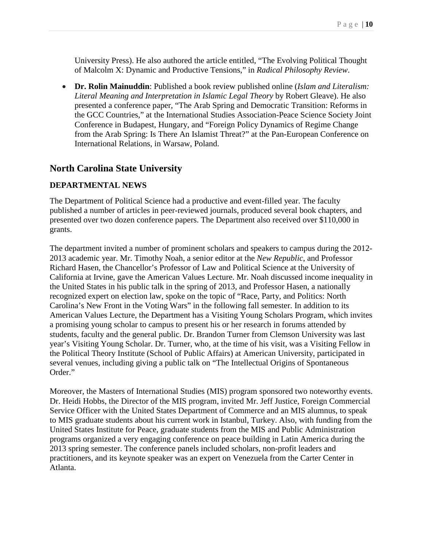University Press). He also authored the article entitled, "The Evolving Political Thought of Malcolm X: Dynamic and Productive Tensions," in *Radical Philosophy Review*.

• **Dr. Rolin Mainuddin**: Published a book review published online (*Islam and Literalism: Literal Meaning and Interpretation in Islamic Legal Theory* by Robert Gleave). He also presented a conference paper, "The Arab Spring and Democratic Transition: Reforms in the GCC Countries," at the International Studies Association-Peace Science Society Joint Conference in Budapest, Hungary, and "Foreign Policy Dynamics of Regime Change from the Arab Spring: Is There An Islamist Threat?" at the Pan-European Conference on International Relations, in Warsaw, Poland.

#### **North Carolina State University**

#### **DEPARTMENTAL NEWS**

The Department of Political Science had a productive and event-filled year. The faculty published a number of articles in peer-reviewed journals, produced several book chapters, and presented over two dozen conference papers. The Department also received over \$110,000 in grants.

The department invited a number of prominent scholars and speakers to campus during the 2012- 2013 academic year. Mr. Timothy Noah, a senior editor at the *New Republic*, and Professor Richard Hasen, the Chancellor's Professor of Law and Political Science at the University of California at Irvine, gave the American Values Lecture. Mr. Noah discussed income inequality in the United States in his public talk in the spring of 2013, and Professor Hasen, a nationally recognized expert on election law, spoke on the topic of "Race, Party, and Politics: North Carolina's New Front in the Voting Wars" in the following fall semester. In addition to its American Values Lecture, the Department has a Visiting Young Scholars Program, which invites a promising young scholar to campus to present his or her research in forums attended by students, faculty and the general public. Dr. Brandon Turner from Clemson University was last year's Visiting Young Scholar. Dr. Turner, who, at the time of his visit, was a Visiting Fellow in the Political Theory Institute (School of Public Affairs) at American University, participated in several venues, including giving a public talk on "The Intellectual Origins of Spontaneous Order."

Moreover, the Masters of International Studies (MIS) program sponsored two noteworthy events. Dr. Heidi Hobbs, the Director of the MIS program, invited Mr. Jeff Justice, Foreign Commercial Service Officer with the United States Department of Commerce and an MIS alumnus, to speak to MIS graduate students about his current work in Istanbul, Turkey. Also, with funding from the United States Institute for Peace, graduate students from the MIS and Public Administration programs organized a very engaging conference on peace building in Latin America during the 2013 spring semester. The conference panels included scholars, non-profit leaders and practitioners, and its keynote speaker was an expert on Venezuela from the Carter Center in Atlanta.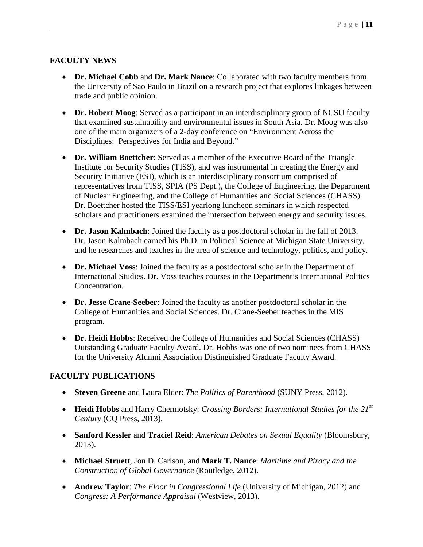#### **FACULTY NEWS**

- **Dr. Michael Cobb** and **Dr. Mark Nance**: Collaborated with two faculty members from the University of Sao Paulo in Brazil on a research project that explores linkages between trade and public opinion.
- **Dr. Robert Moog**: Served as a participant in an interdisciplinary group of NCSU faculty that examined sustainability and environmental issues in South Asia. Dr. Moog was also one of the main organizers of a 2-day conference on "Environment Across the Disciplines: Perspectives for India and Beyond."
- **Dr. William Boettcher**: Served as a member of the Executive Board of the Triangle Institute for Security Studies (TISS), and was instrumental in creating the Energy and Security Initiative (ESI), which is an interdisciplinary consortium comprised of representatives from TISS, SPIA (PS Dept.), the College of Engineering, the Department of Nuclear Engineering, and the College of Humanities and Social Sciences (CHASS). Dr. Boettcher hosted the TISS/ESI yearlong luncheon seminars in which respected scholars and practitioners examined the intersection between energy and security issues.
- **Dr. Jason Kalmbach**: Joined the faculty as a postdoctoral scholar in the fall of 2013. Dr. Jason Kalmbach earned his Ph.D. in Political Science at Michigan State University, and he researches and teaches in the area of science and technology, politics, and policy.
- **Dr. Michael Voss**: Joined the faculty as a postdoctoral scholar in the Department of International Studies. Dr. Voss teaches courses in the Department's International Politics Concentration.
- **Dr. Jesse Crane-Seeber**: Joined the faculty as another postdoctoral scholar in the College of Humanities and Social Sciences. Dr. Crane-Seeber teaches in the MIS program.
- **Dr. Heidi Hobbs**: Received the College of Humanities and Social Sciences (CHASS) Outstanding Graduate Faculty Award. Dr. Hobbs was one of two nominees from CHASS for the University Alumni Association Distinguished Graduate Faculty Award.

#### **FACULTY PUBLICATIONS**

- **Steven Greene** and Laura Elder: *The Politics of Parenthood* (SUNY Press, 2012).
- **Heidi Hobbs** and Harry Chermotsky: *Crossing Borders: International Studies for the 21st Century* (CQ Press, 2013).
- **Sanford Kessler** and **Traciel Reid**: *American Debates on Sexual Equality* (Bloomsbury, 2013).
- **Michael Struett**, Jon D. Carlson, and **Mark T. Nance**: *Maritime and Piracy and the Construction of Global Governance* (Routledge, 2012).
- **Andrew Taylor**: *The Floor in Congressional Life* (University of Michigan, 2012) and *Congress: A Performance Appraisal* (Westview, 2013).